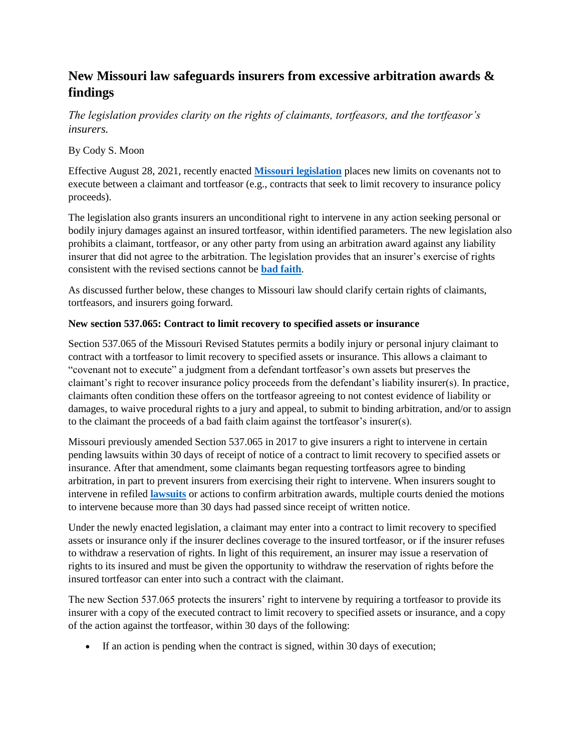## **New Missouri law safeguards insurers from excessive arbitration awards & findings**

*The legislation provides clarity on the rights of claimants, tortfeasors, and the tortfeasor's insurers.*

## By Cody S. Moon

Effective August 28, 2021, recently enacted **[Missouri legislation](https://legiscan.com/MO/bill/HB345/2021)** places new limits on covenants not to execute between a claimant and tortfeasor (e.g., contracts that seek to limit recovery to insurance policy proceeds).

The legislation also grants insurers an unconditional right to intervene in any action seeking personal or bodily injury damages against an insured tortfeasor, within identified parameters. The new legislation also prohibits a claimant, tortfeasor, or any other party from using an arbitration award against any liability insurer that did not agree to the arbitration. The legislation provides that an insurer's exercise of rights consistent with the revised sections cannot be **[bad faith](https://www.propertycasualty360.com/2021/06/01/court-of-appeals-holds-insurer-failed-to-meet-requirements-of-settlement-demand-414-203504/)**.

As discussed further below, these changes to Missouri law should clarify certain rights of claimants, tortfeasors, and insurers going forward.

## **New section 537.065: Contract to limit recovery to specified assets or insurance**

Section 537.065 of the Missouri Revised Statutes permits a bodily injury or personal injury claimant to contract with a tortfeasor to limit recovery to specified assets or insurance. This allows a claimant to "covenant not to execute" a judgment from a defendant tortfeasor's own assets but preserves the claimant's right to recover insurance policy proceeds from the defendant's liability insurer(s). In practice, claimants often condition these offers on the tortfeasor agreeing to not contest evidence of liability or damages, to waive procedural rights to a jury and appeal, to submit to binding arbitration, and/or to assign to the claimant the proceeds of a bad faith claim against the tortfeasor's insurer(s).

Missouri previously amended Section 537.065 in 2017 to give insurers a right to intervene in certain pending lawsuits within 30 days of receipt of notice of a contract to limit recovery to specified assets or insurance. After that amendment, some claimants began requesting tortfeasors agree to binding arbitration, in part to prevent insurers from exercising their right to intervene. When insurers sought to intervene in refiled **[lawsuits](https://www.propertycasualty360.com/claims/litigation/)** or actions to confirm arbitration awards, multiple courts denied the motions to intervene because more than 30 days had passed since receipt of written notice.

Under the newly enacted legislation, a claimant may enter into a contract to limit recovery to specified assets or insurance only if the insurer declines coverage to the insured tortfeasor, or if the insurer refuses to withdraw a reservation of rights. In light of this requirement, an insurer may issue a reservation of rights to its insured and must be given the opportunity to withdraw the reservation of rights before the insured tortfeasor can enter into such a contract with the claimant.

The new Section 537.065 protects the insurers' right to intervene by requiring a tortfeasor to provide its insurer with a copy of the executed contract to limit recovery to specified assets or insurance, and a copy of the action against the tortfeasor, within 30 days of the following:

If an action is pending when the contract is signed, within 30 days of execution;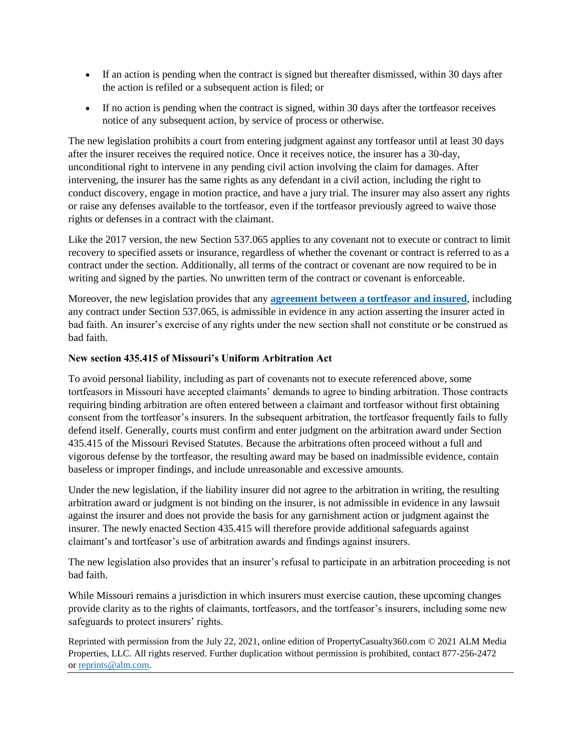- If an action is pending when the contract is signed but thereafter dismissed, within 30 days after the action is refiled or a subsequent action is filed; or
- If no action is pending when the contract is signed, within 30 days after the tortfeasor receives notice of any subsequent action, by service of process or otherwise.

The new legislation prohibits a court from entering judgment against any tortfeasor until at least 30 days after the insurer receives the required notice. Once it receives notice, the insurer has a 30-day, unconditional right to intervene in any pending civil action involving the claim for damages. After intervening, the insurer has the same rights as any defendant in a civil action, including the right to conduct discovery, engage in motion practice, and have a jury trial. The insurer may also assert any rights or raise any defenses available to the tortfeasor, even if the tortfeasor previously agreed to waive those rights or defenses in a contract with the claimant.

Like the 2017 version, the new Section 537.065 applies to any covenant not to execute or contract to limit recovery to specified assets or insurance, regardless of whether the covenant or contract is referred to as a contract under the section. Additionally, all terms of the contract or covenant are now required to be in writing and signed by the parties. No unwritten term of the contract or covenant is enforceable.

Moreover, the new legislation provides that any **[agreement between a tortfeasor and insured](https://www.propertycasualty360.com/2021/05/13/settling-cases-during-the-pandemic-embracing-our-new-normal-414-202201/)**, including any contract under Section 537.065, is admissible in evidence in any action asserting the insurer acted in bad faith. An insurer's exercise of any rights under the new section shall not constitute or be construed as bad faith.

## **New section 435.415 of Missouri's Uniform Arbitration Act**

To avoid personal liability, including as part of covenants not to execute referenced above, some tortfeasors in Missouri have accepted claimants' demands to agree to binding arbitration. Those contracts requiring binding arbitration are often entered between a claimant and tortfeasor without first obtaining consent from the tortfeasor's insurers. In the subsequent arbitration, the tortfeasor frequently fails to fully defend itself. Generally, courts must confirm and enter judgment on the arbitration award under Section 435.415 of the Missouri Revised Statutes. Because the arbitrations often proceed without a full and vigorous defense by the tortfeasor, the resulting award may be based on inadmissible evidence, contain baseless or improper findings, and include unreasonable and excessive amounts.

Under the new legislation, if the liability insurer did not agree to the arbitration in writing, the resulting arbitration award or judgment is not binding on the insurer, is not admissible in evidence in any lawsuit against the insurer and does not provide the basis for any garnishment action or judgment against the insurer. The newly enacted Section 435.415 will therefore provide additional safeguards against claimant's and tortfeasor's use of arbitration awards and findings against insurers.

The new legislation also provides that an insurer's refusal to participate in an arbitration proceeding is not bad faith.

While Missouri remains a jurisdiction in which insurers must exercise caution, these upcoming changes provide clarity as to the rights of claimants, tortfeasors, and the tortfeasor's insurers, including some new safeguards to protect insurers' rights.

Reprinted with permission from the July 22, 2021, online edition of PropertyCasualty360.com © 2021 ALM Media Properties, LLC. All rights reserved. Further duplication without permission is prohibited, contact 877-256-2472 or [reprints@alm.com.](mailto:reprints@alm.com)